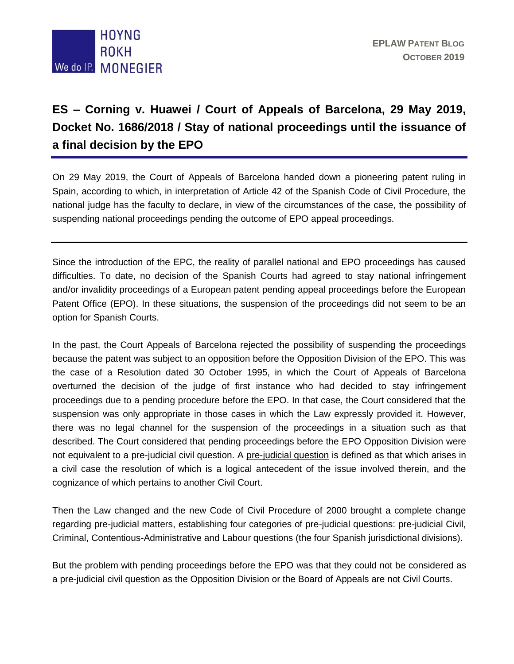

## **ES – Corning v. Huawei / Court of Appeals of Barcelona, 29 May 2019, Docket No. 1686/2018 / Stay of national proceedings until the issuance of a final decision by the EPO**

On 29 May 2019, the Court of Appeals of Barcelona handed down a pioneering patent ruling in Spain, according to which, in interpretation of Article 42 of the Spanish Code of Civil Procedure, the national judge has the faculty to declare, in view of the circumstances of the case, the possibility of suspending national proceedings pending the outcome of EPO appeal proceedings.

Since the introduction of the EPC, the reality of parallel national and EPO proceedings has caused difficulties. To date, no decision of the Spanish Courts had agreed to stay national infringement and/or invalidity proceedings of a European patent pending appeal proceedings before the European Patent Office (EPO). In these situations, the suspension of the proceedings did not seem to be an option for Spanish Courts.

In the past, the Court Appeals of Barcelona rejected the possibility of suspending the proceedings because the patent was subject to an opposition before the Opposition Division of the EPO. This was the case of a Resolution dated 30 October 1995, in which the Court of Appeals of Barcelona overturned the decision of the judge of first instance who had decided to stay infringement proceedings due to a pending procedure before the EPO. In that case, the Court considered that the suspension was only appropriate in those cases in which the Law expressly provided it. However, there was no legal channel for the suspension of the proceedings in a situation such as that described. The Court considered that pending proceedings before the EPO Opposition Division were not equivalent to a pre-judicial civil question. A pre-judicial question is defined as that which arises in a civil case the resolution of which is a logical antecedent of the issue involved therein, and the cognizance of which pertains to another Civil Court.

Then the Law changed and the new Code of Civil Procedure of 2000 brought a complete change regarding pre-judicial matters, establishing four categories of pre-judicial questions: pre-judicial Civil, Criminal, Contentious-Administrative and Labour questions (the four Spanish jurisdictional divisions).

But the problem with pending proceedings before the EPO was that they could not be considered as a pre-judicial civil question as the Opposition Division or the Board of Appeals are not Civil Courts.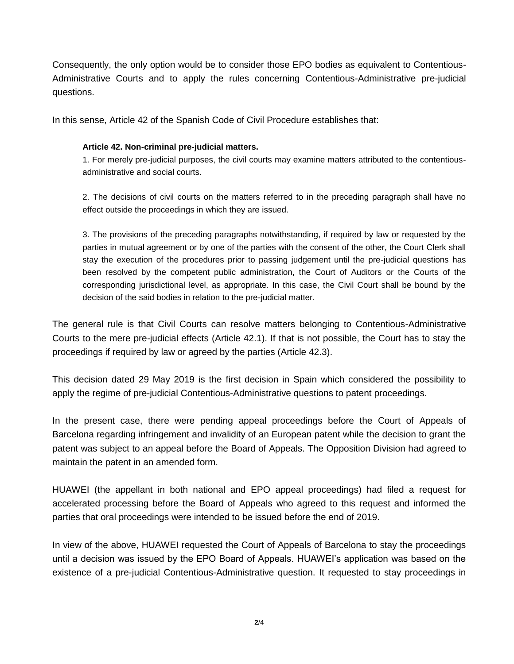Consequently, the only option would be to consider those EPO bodies as equivalent to Contentious-Administrative Courts and to apply the rules concerning Contentious-Administrative pre-judicial questions.

In this sense, Article 42 of the Spanish Code of Civil Procedure establishes that:

## **Article 42. Non-criminal pre-judicial matters.**

1. For merely pre-judicial purposes, the civil courts may examine matters attributed to the contentiousadministrative and social courts.

2. The decisions of civil courts on the matters referred to in the preceding paragraph shall have no effect outside the proceedings in which they are issued.

3. The provisions of the preceding paragraphs notwithstanding, if required by law or requested by the parties in mutual agreement or by one of the parties with the consent of the other, the Court Clerk shall stay the execution of the procedures prior to passing judgement until the pre-judicial questions has been resolved by the competent public administration, the Court of Auditors or the Courts of the corresponding jurisdictional level, as appropriate. In this case, the Civil Court shall be bound by the decision of the said bodies in relation to the pre-judicial matter.

The general rule is that Civil Courts can resolve matters belonging to Contentious-Administrative Courts to the mere pre-judicial effects (Article 42.1). If that is not possible, the Court has to stay the proceedings if required by law or agreed by the parties (Article 42.3).

This decision dated 29 May 2019 is the first decision in Spain which considered the possibility to apply the regime of pre-judicial Contentious-Administrative questions to patent proceedings.

In the present case, there were pending appeal proceedings before the Court of Appeals of Barcelona regarding infringement and invalidity of an European patent while the decision to grant the patent was subject to an appeal before the Board of Appeals. The Opposition Division had agreed to maintain the patent in an amended form.

HUAWEI (the appellant in both national and EPO appeal proceedings) had filed a request for accelerated processing before the Board of Appeals who agreed to this request and informed the parties that oral proceedings were intended to be issued before the end of 2019.

In view of the above, HUAWEI requested the Court of Appeals of Barcelona to stay the proceedings until a decision was issued by the EPO Board of Appeals. HUAWEI's application was based on the existence of a pre-judicial Contentious-Administrative question. It requested to stay proceedings in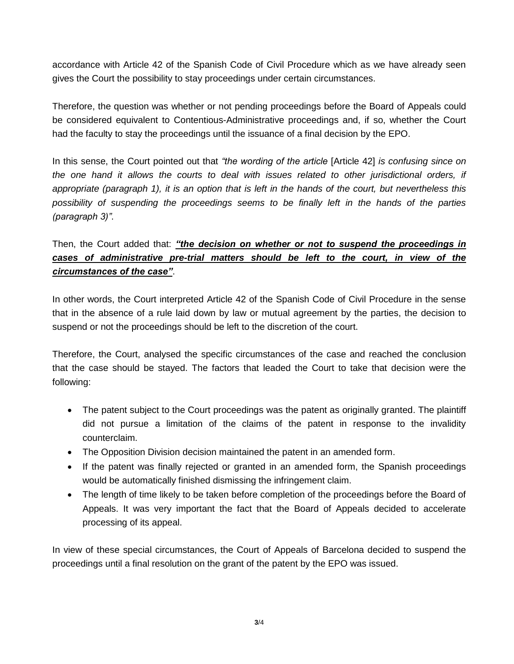accordance with Article 42 of the Spanish Code of Civil Procedure which as we have already seen gives the Court the possibility to stay proceedings under certain circumstances.

Therefore, the question was whether or not pending proceedings before the Board of Appeals could be considered equivalent to Contentious-Administrative proceedings and, if so, whether the Court had the faculty to stay the proceedings until the issuance of a final decision by the EPO.

In this sense, the Court pointed out that *"the wording of the article* [Article 42] *is confusing since on the one hand it allows the courts to deal with issues related to other jurisdictional orders, if appropriate (paragraph 1), it is an option that is left in the hands of the court, but nevertheless this possibility of suspending the proceedings seems to be finally left in the hands of the parties (paragraph 3)"*.

## Then, the Court added that: *"the decision on whether or not to suspend the proceedings in cases of administrative pre-trial matters should be left to the court, in view of the circumstances of the case"*.

In other words, the Court interpreted Article 42 of the Spanish Code of Civil Procedure in the sense that in the absence of a rule laid down by law or mutual agreement by the parties, the decision to suspend or not the proceedings should be left to the discretion of the court.

Therefore, the Court, analysed the specific circumstances of the case and reached the conclusion that the case should be stayed. The factors that leaded the Court to take that decision were the following:

- The patent subject to the Court proceedings was the patent as originally granted. The plaintiff did not pursue a limitation of the claims of the patent in response to the invalidity counterclaim.
- The Opposition Division decision maintained the patent in an amended form.
- If the patent was finally rejected or granted in an amended form, the Spanish proceedings would be automatically finished dismissing the infringement claim.
- The length of time likely to be taken before completion of the proceedings before the Board of Appeals. It was very important the fact that the Board of Appeals decided to accelerate processing of its appeal.

In view of these special circumstances, the Court of Appeals of Barcelona decided to suspend the proceedings until a final resolution on the grant of the patent by the EPO was issued.